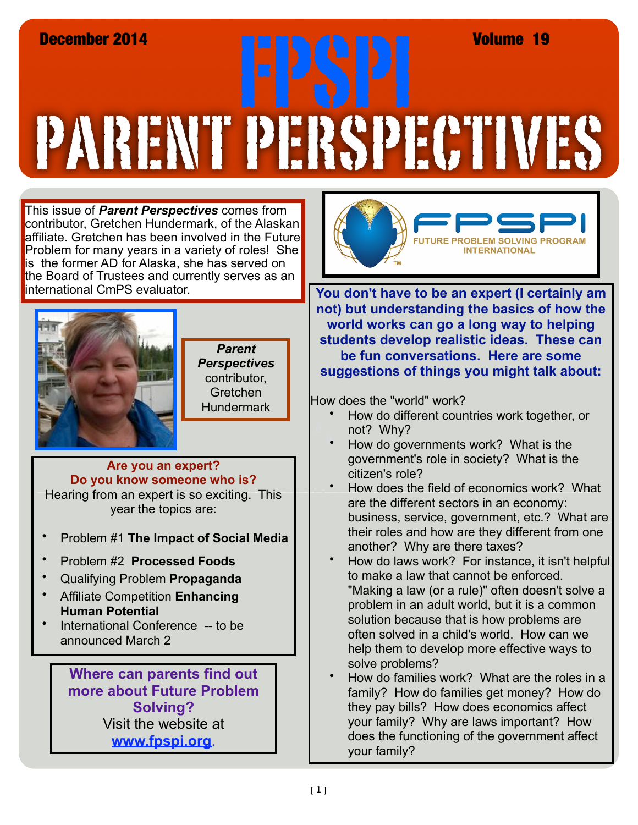# PARENT PERSPECTIVES December 2014<br>**FRAMERIC SPI SPI SPI VOLUME 19**<br>TRAMERIC SPI SPI SPI SPI AN HELP MAN

This issue of *Parent Perspectives* comes from contributor, Gretchen Hundermark, of the Alaskan affiliate. Gretchen has been involved in the Future Problem for many years in a variety of roles! She is the former AD for Alaska, she has served on the Board of Trustees and currently serves as an international CmPS evaluator.



*Parent Perspectives*  contributor, Gretchen **Hundermark** 

#### **Are you an expert? Do you know someone who is?**

Hearing from an expert is so exciting. This year the topics are:

- Problem #1 **The Impact of Social Media**
- Problem #2 **Processed Foods**
- Qualifying Problem **Propaganda**
- Affiliate Competition **Enhancing Human Potential**
- International Conference -- to be announced March 2

**Where can parents find out more about Future Problem Solving?**  Visit the website at **[www.fpspi.org](http://www.fpspi.org)**.



**You don't have to be an expert (I certainly am not) but understanding the basics of how the world works can go a long way to helping students develop realistic ideas. These can be fun conversations. Here are some suggestions of things you might talk about:**

How does the "world" work?

- How do different countries work together, or not? Why?
- How do governments work? What is the government's role in society? What is the citizen's role?
- How does the field of economics work? What are the different sectors in an economy: business, service, government, etc.? What are their roles and how are they different from one another? Why are there taxes?
- How do laws work? For instance, it isn't helpful to make a law that cannot be enforced. "Making a law (or a rule)" often doesn't solve a problem in an adult world, but it is a common solution because that is how problems are often solved in a child's world. How can we help them to develop more effective ways to solve problems?
- How do families work? What are the roles in a family? How do families get money? How do they pay bills? How does economics affect your family? Why are laws important? How does the functioning of the government affect your family?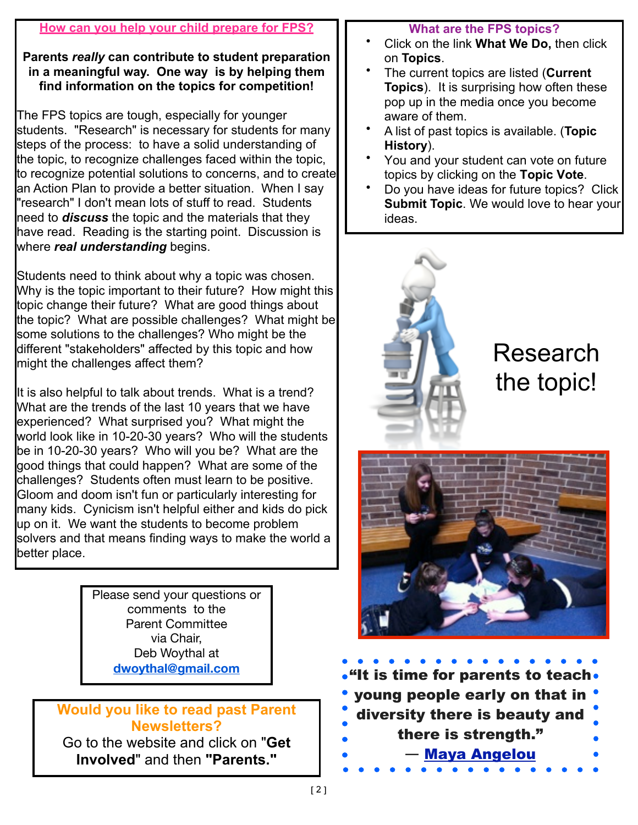#### **How can you help your child prepare for FPS?**

#### **Parents** *really* **can contribute to student preparation in a meaningful way. One way is by helping them find information on the topics for competition!**

The FPS topics are tough, especially for younger students. "Research" is necessary for students for many steps of the process: to have a solid understanding of the topic, to recognize challenges faced within the topic, to recognize potential solutions to concerns, and to create an Action Plan to provide a better situation. When I say "research" I don't mean lots of stuff to read. Students need to *discuss* the topic and the materials that they have read. Reading is the starting point. Discussion is where *real understanding* begins.

Students need to think about why a topic was chosen. Why is the topic important to their future? How might this topic change their future? What are good things about the topic? What are possible challenges? What might be some solutions to the challenges? Who might be the different "stakeholders" affected by this topic and how might the challenges affect them?

It is also helpful to talk about trends. What is a trend? What are the trends of the last 10 years that we have experienced? What surprised you? What might the world look like in 10-20-30 years? Who will the students be in 10-20-30 years? Who will you be? What are the good things that could happen? What are some of the challenges? Students often must learn to be positive. Gloom and doom isn't fun or particularly interesting for many kids. Cynicism isn't helpful either and kids do pick up on it. We want the students to become problem solvers and that means finding ways to make the world a better place.

> Please send your questions or comments to the Parent Committee via Chair, Deb Woythal at **dwoythal@gmail.com**

### **Would you like to read past Parent Newsletters?**

Go to the website and click on "**Get Involved**" and then **"Parents."**

#### **What are the FPS topics?**

- Click on the link **What We Do,** then click on **Topics**.
- The current topics are listed (**Current Topics**). It is surprising how often these pop up in the media once you become aware of them.
- A list of past topics is available. (**Topic History**).
- You and your student can vote on future topics by clicking on the **Topic Vote**.
- Do you have ideas for future topics? Click **Submit Topic**. We would love to hear your ideas.



Research the topic!



 $\cdot$ "It is time for parents to teach $\cdot$ young people early on that in diversity there is beauty and there is strength." **―** [Maya Angelou](http://www.goodreads.com/author/show/3503.Maya_Angelou)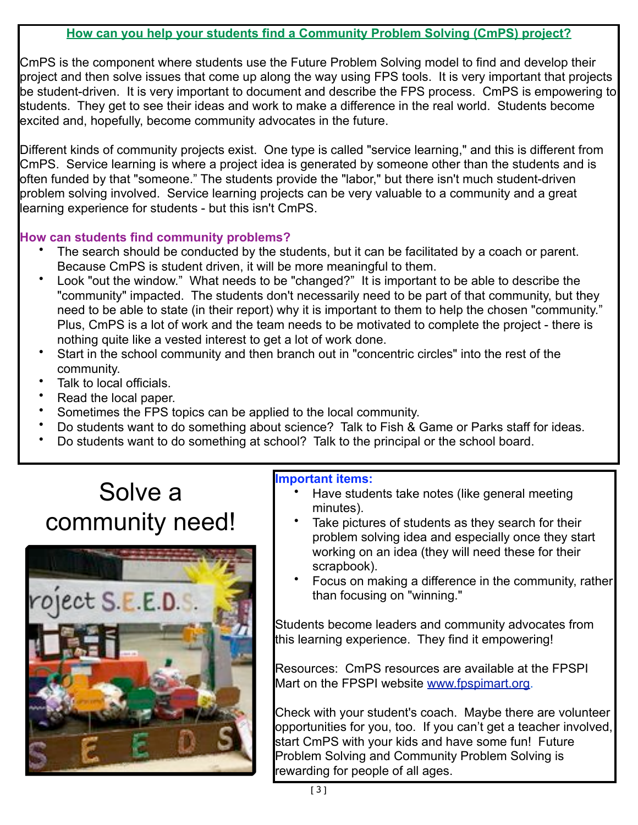#### **How can you help your students find a Community Problem Solving (CmPS) project?**

CmPS is the component where students use the Future Problem Solving model to find and develop their project and then solve issues that come up along the way using FPS tools. It is very important that projects be student-driven. It is very important to document and describe the FPS process. CmPS is empowering to students. They get to see their ideas and work to make a difference in the real world. Students become excited and, hopefully, become community advocates in the future.

Different kinds of community projects exist. One type is called "service learning," and this is different from CmPS. Service learning is where a project idea is generated by someone other than the students and is often funded by that "someone." The students provide the "labor," but there isn't much student-driven problem solving involved. Service learning projects can be very valuable to a community and a great learning experience for students - but this isn't CmPS.

#### **How can students find community problems?**

- The search should be conducted by the students, but it can be facilitated by a coach or parent. Because CmPS is student driven, it will be more meaningful to them.
- Look "out the window." What needs to be "changed?" It is important to be able to describe the "community" impacted. The students don't necessarily need to be part of that community, but they need to be able to state (in their report) why it is important to them to help the chosen "community." Plus, CmPS is a lot of work and the team needs to be motivated to complete the project - there is nothing quite like a vested interest to get a lot of work done.
- Start in the school community and then branch out in "concentric circles" into the rest of the community.
- Talk to local officials.
- Read the local paper.
- Sometimes the FPS topics can be applied to the local community.
- Do students want to do something about science? Talk to Fish & Game or Parks staff for ideas.
- Do students want to do something at school? Talk to the principal or the school board.

## Solve a community need!



#### **Important items:**

- Have students take notes (like general meeting minutes).
- Take pictures of students as they search for their problem solving idea and especially once they start working on an idea (they will need these for their scrapbook).
- Focus on making a difference in the community, rather than focusing on "winning."

Students become leaders and community advocates from this learning experience. They find it empowering!

Resources: CmPS resources are available at the FPSPI Mart on the FPSPI website [www.fpspimart.org.](http://www.fpspimart.org)

Check with your student's coach. Maybe there are volunteer opportunities for you, too. If you can't get a teacher involved, start CmPS with your kids and have some fun! Future Problem Solving and Community Problem Solving is rewarding for people of all ages.